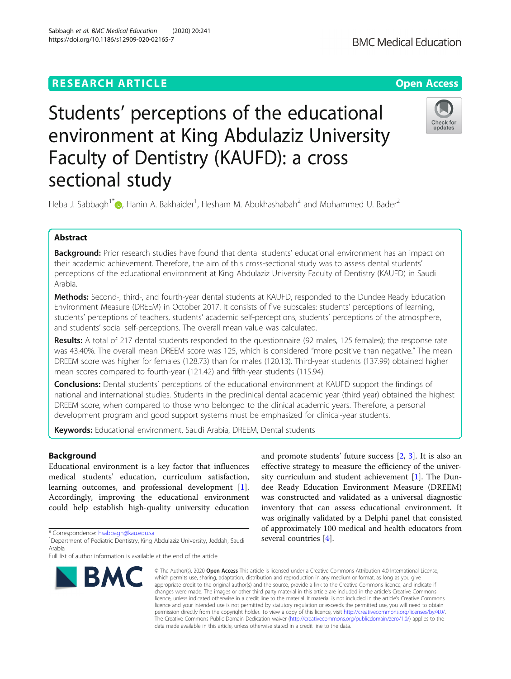# **RESEARCH ARTICLE Example 2014 12:30 The Contract of Contract ACCESS**

# Students' perceptions of the educational environment at King Abdulaziz University Faculty of Dentistry (KAUFD): a cross sectional study

Heba J. Sabbagh<sup>1\*</sup> $\bm{\odot}$ , Hanin A. Bakhaider<sup>1</sup>, Hesham M. Abokhashabah<sup>2</sup> and Mohammed U. Bader<sup>2</sup>

# Abstract

Background: Prior research studies have found that dental students' educational environment has an impact on their academic achievement. Therefore, the aim of this cross-sectional study was to assess dental students' perceptions of the educational environment at King Abdulaziz University Faculty of Dentistry (KAUFD) in Saudi Arabia.

Methods: Second-, third-, and fourth-year dental students at KAUFD, responded to the Dundee Ready Education Environment Measure (DREEM) in October 2017. It consists of five subscales: students' perceptions of learning, students' perceptions of teachers, students' academic self-perceptions, students' perceptions of the atmosphere, and students' social self-perceptions. The overall mean value was calculated.

Results: A total of 217 dental students responded to the questionnaire (92 males, 125 females); the response rate was 43.40%. The overall mean DREEM score was 125, which is considered "more positive than negative." The mean DREEM score was higher for females (128.73) than for males (120.13). Third-year students (137.99) obtained higher mean scores compared to fourth-year (121.42) and fifth-year students (115.94).

**Conclusions:** Dental students' perceptions of the educational environment at KAUFD support the findings of national and international studies. Students in the preclinical dental academic year (third year) obtained the highest DREEM score, when compared to those who belonged to the clinical academic years. Therefore, a personal development program and good support systems must be emphasized for clinical-year students.

Keywords: Educational environment, Saudi Arabia, DREEM, Dental students

# Background

Educational environment is a key factor that influences medical students' education, curriculum satisfaction, learning outcomes, and professional development [\[1](#page-6-0)]. Accordingly, improving the educational environment could help establish high-quality university education

\* Correspondence: [hsabbagh@kau.edu.sa](mailto:hsabbagh@kau.edu.sa) <sup>1</sup>

and promote students' future success [[2,](#page-6-0) [3](#page-6-0)]. It is also an

effective strategy to measure the efficiency of the university curriculum and student achievement [[1\]](#page-6-0). The Dundee Ready Education Environment Measure (DREEM) was constructed and validated as a universal diagnostic inventory that can assess educational environment. It was originally validated by a Delphi panel that consisted of approximately 100 medical and health educators from several countries [\[4](#page-6-0)].

© The Author(s), 2020 **Open Access** This article is licensed under a Creative Commons Attribution 4.0 International License, which permits use, sharing, adaptation, distribution and reproduction in any medium or format, as long as you give appropriate credit to the original author(s) and the source, provide a link to the Creative Commons licence, and indicate if changes were made. The images or other third party material in this article are included in the article's Creative Commons licence, unless indicated otherwise in a credit line to the material. If material is not included in the article's Creative Commons licence and your intended use is not permitted by statutory regulation or exceeds the permitted use, you will need to obtain permission directly from the copyright holder. To view a copy of this licence, visit [http://creativecommons.org/licenses/by/4.0/.](http://creativecommons.org/licenses/by/4.0/) The Creative Commons Public Domain Dedication waiver [\(http://creativecommons.org/publicdomain/zero/1.0/](http://creativecommons.org/publicdomain/zero/1.0/)) applies to the data made available in this article, unless otherwise stated in a credit line to the data.

**BMC** 





<sup>&</sup>lt;sup>1</sup> Department of Pediatric Dentistry, King Abdulaziz University, Jeddah, Saudi Arabia

Full list of author information is available at the end of the article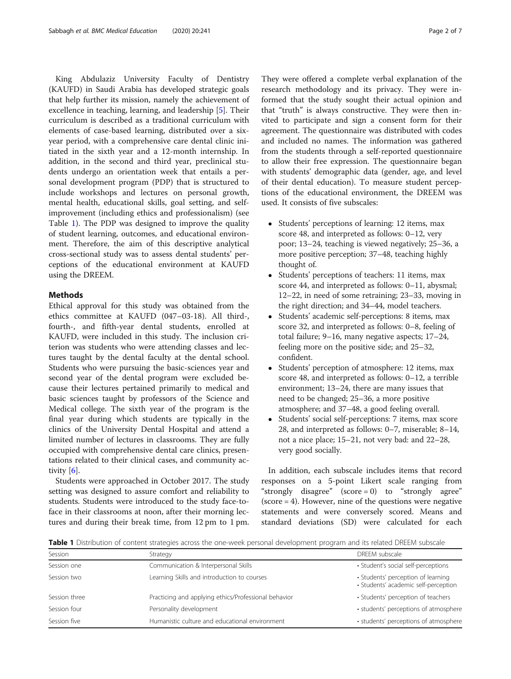<span id="page-1-0"></span>King Abdulaziz University Faculty of Dentistry (KAUFD) in Saudi Arabia has developed strategic goals that help further its mission, namely the achievement of excellence in teaching, learning, and leadership [[5\]](#page-6-0). Their curriculum is described as a traditional curriculum with elements of case-based learning, distributed over a sixyear period, with a comprehensive care dental clinic initiated in the sixth year and a 12-month internship. In addition, in the second and third year, preclinical students undergo an orientation week that entails a personal development program (PDP) that is structured to include workshops and lectures on personal growth, mental health, educational skills, goal setting, and selfimprovement (including ethics and professionalism) (see Table 1). The PDP was designed to improve the quality of student learning, outcomes, and educational environment. Therefore, the aim of this descriptive analytical cross-sectional study was to assess dental students' perceptions of the educational environment at KAUFD using the DREEM.

# Methods

Ethical approval for this study was obtained from the ethics committee at KAUFD (047–03-18). All third-, fourth-, and fifth-year dental students, enrolled at KAUFD, were included in this study. The inclusion criterion was students who were attending classes and lectures taught by the dental faculty at the dental school. Students who were pursuing the basic-sciences year and second year of the dental program were excluded because their lectures pertained primarily to medical and basic sciences taught by professors of the Science and Medical college. The sixth year of the program is the final year during which students are typically in the clinics of the University Dental Hospital and attend a limited number of lectures in classrooms. They are fully occupied with comprehensive dental care clinics, presentations related to their clinical cases, and community activity [\[6](#page-6-0)].

Students were approached in October 2017. The study setting was designed to assure comfort and reliability to students. Students were introduced to the study face-toface in their classrooms at noon, after their morning lectures and during their break time, from 12 pm to 1 pm.

They were offered a complete verbal explanation of the research methodology and its privacy. They were informed that the study sought their actual opinion and that "truth" is always constructive. They were then invited to participate and sign a consent form for their agreement. The questionnaire was distributed with codes and included no names. The information was gathered from the students through a self-reported questionnaire to allow their free expression. The questionnaire began with students' demographic data (gender, age, and level of their dental education). To measure student perceptions of the educational environment, the DREEM was used. It consists of five subscales:

- Students' perceptions of learning: 12 items, max score 48, and interpreted as follows: 0–12, very poor; 13–24, teaching is viewed negatively; 25–36, a more positive perception; 37–48, teaching highly thought of.
- Students' perceptions of teachers: 11 items, max score 44, and interpreted as follows: 0–11, abysmal; 12–22, in need of some retraining; 23–33, moving in the right direction; and 34–44, model teachers.
- Students' academic self-perceptions: 8 items, max score 32, and interpreted as follows: 0–8, feeling of total failure; 9–16, many negative aspects; 17–24, feeling more on the positive side; and 25–32, confident.
- Students' perception of atmosphere: 12 items, max score 48, and interpreted as follows: 0–12, a terrible environment; 13–24, there are many issues that need to be changed; 25–36, a more positive atmosphere; and 37–48, a good feeling overall.
- Students' social self-perceptions: 7 items, max score 28, and interpreted as follows: 0–7, miserable; 8–14, not a nice place; 15–21, not very bad: and 22–28, very good socially.

In addition, each subscale includes items that record responses on a 5-point Likert scale ranging from "strongly disagree" (score = 0) to "strongly agree" (score = 4). However, nine of the questions were negative statements and were conversely scored. Means and standard deviations (SD) were calculated for each

Table 1 Distribution of content strategies across the one-week personal development program and its related DREEM subscale

| Session       | Strategy                                             | DREEM subscale                                                             |
|---------------|------------------------------------------------------|----------------------------------------------------------------------------|
| Session one   | Communication & Interpersonal Skills                 | • Student's social self-perceptions                                        |
| Session two   | Learning Skills and introduction to courses          | • Students' perception of learning<br>· Students' academic self-perception |
| Session three | Practicing and applying ethics/Professional behavior | • Students' perception of teachers                                         |
| Session four  | Personality development                              | • students' perceptions of atmosphere                                      |
| Session five  | Humanistic culture and educational environment       | • students' perceptions of atmosphere                                      |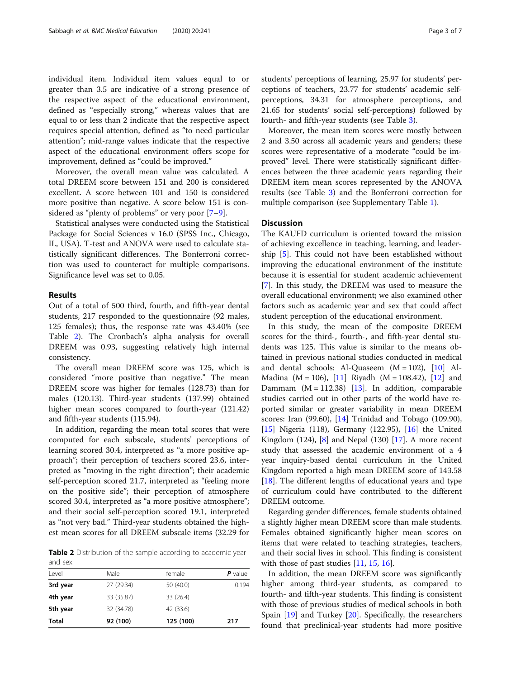individual item. Individual item values equal to or greater than 3.5 are indicative of a strong presence of the respective aspect of the educational environment, defined as "especially strong," whereas values that are equal to or less than 2 indicate that the respective aspect requires special attention, defined as "to need particular attention"; mid-range values indicate that the respective aspect of the educational environment offers scope for improvement, defined as "could be improved."

Moreover, the overall mean value was calculated. A total DREEM score between 151 and 200 is considered excellent. A score between 101 and 150 is considered more positive than negative. A score below 151 is considered as "plenty of problems" or very poor [\[7](#page-6-0)–[9\]](#page-6-0).

Statistical analyses were conducted using the Statistical Package for Social Sciences v 16.0 (SPSS Inc., Chicago, IL, USA). T-test and ANOVA were used to calculate statistically significant differences. The Bonferroni correction was used to counteract for multiple comparisons. Significance level was set to 0.05.

## Results

Out of a total of 500 third, fourth, and fifth-year dental students, 217 responded to the questionnaire (92 males, 125 females); thus, the response rate was 43.40% (see Table 2). The Cronbach's alpha analysis for overall DREEM was 0.93, suggesting relatively high internal consistency.

The overall mean DREEM score was 125, which is considered "more positive than negative." The mean DREEM score was higher for females (128.73) than for males (120.13). Third-year students (137.99) obtained higher mean scores compared to fourth-year (121.42) and fifth-year students (115.94).

In addition, regarding the mean total scores that were computed for each subscale, students' perceptions of learning scored 30.4, interpreted as "a more positive approach"; their perception of teachers scored 23.6, interpreted as "moving in the right direction"; their academic self-perception scored 21.7, interpreted as "feeling more on the positive side"; their perception of atmosphere scored 30.4, interpreted as "a more positive atmosphere"; and their social self-perception scored 19.1, interpreted as "not very bad." Third-year students obtained the highest mean scores for all DREEM subscale items (32.29 for

Table 2 Distribution of the sample according to academic year and sex

| Level        | Male       | female    | $P$ value |
|--------------|------------|-----------|-----------|
| 3rd year     | 27 (29.34) | 50 (40.0) | 0.194     |
| 4th year     | 33 (35.87) | 33 (26.4) |           |
| 5th year     | 32 (34.78) | 42 (33.6) |           |
| <b>Total</b> | 92 (100)   | 125 (100) | 217       |

students' perceptions of learning, 25.97 for students' perceptions of teachers, 23.77 for students' academic selfperceptions, 34.31 for atmosphere perceptions, and 21.65 for students' social self-perceptions) followed by fourth- and fifth-year students (see Table [3\)](#page-3-0).

Moreover, the mean item scores were mostly between 2 and 3.50 across all academic years and genders; these scores were representative of a moderate "could be improved" level. There were statistically significant differences between the three academic years regarding their DREEM item mean scores represented by the ANOVA results (see Table [3](#page-3-0)) and the Bonferroni correction for multiple comparison (see Supplementary Table [1](#page-6-0)).

# **Discussion**

The KAUFD curriculum is oriented toward the mission of achieving excellence in teaching, learning, and leadership [\[5](#page-6-0)]. This could not have been established without improving the educational environment of the institute because it is essential for student academic achievement [[7\]](#page-6-0). In this study, the DREEM was used to measure the overall educational environment; we also examined other factors such as academic year and sex that could affect student perception of the educational environment.

In this study, the mean of the composite DREEM scores for the third-, fourth-, and fifth-year dental students was 125. This value is similar to the means obtained in previous national studies conducted in medical and dental schools: Al-Quaseem  $(M = 102)$ ,  $[10]$  $[10]$  Al-Madina (M = 106), [\[11](#page-6-0)] Riyadh (M = 108.42), [\[12](#page-6-0)] and Dammam  $(M = 112.38)$  [[13](#page-6-0)]. In addition, comparable studies carried out in other parts of the world have reported similar or greater variability in mean DREEM scores: Iran (99.60), [[14](#page-6-0)] Trinidad and Tobago (109.90), [[15\]](#page-6-0) Nigeria (118), Germany (122.95), [[16\]](#page-6-0) the United Kingdom (124), [\[8](#page-6-0)] and Nepal (130) [[17\]](#page-6-0). A more recent study that assessed the academic environment of a 4 year inquiry-based dental curriculum in the United Kingdom reported a high mean DREEM score of 143.58 [[18\]](#page-6-0). The different lengths of educational years and type of curriculum could have contributed to the different DREEM outcome.

Regarding gender differences, female students obtained a slightly higher mean DREEM score than male students. Females obtained significantly higher mean scores on items that were related to teaching strategies, teachers, and their social lives in school. This finding is consistent with those of past studies  $[11, 15, 16]$  $[11, 15, 16]$  $[11, 15, 16]$  $[11, 15, 16]$  $[11, 15, 16]$ .

In addition, the mean DREEM score was significantly higher among third-year students, as compared to fourth- and fifth-year students. This finding is consistent with those of previous studies of medical schools in both Spain [\[19](#page-6-0)] and Turkey [[20\]](#page-6-0). Specifically, the researchers found that preclinical-year students had more positive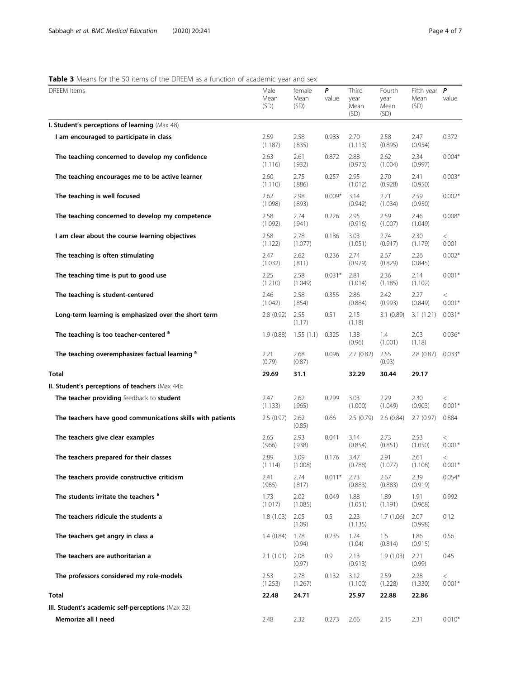# <span id="page-3-0"></span>Table 3 Means for the 50 items of the DREEM as a function of academic year and sex

| <b>DREEM</b> Items                                         | Male<br>Mean<br>(SD) | female<br>Mean<br>(SD) | P<br>value | Third<br>year<br>Mean<br>(SD) | Fourth<br>year<br>Mean<br>(SD) | Fifth year $P$<br>Mean<br>(SD) | value             |
|------------------------------------------------------------|----------------------|------------------------|------------|-------------------------------|--------------------------------|--------------------------------|-------------------|
| I. Student's perceptions of learning (Max 48)              |                      |                        |            |                               |                                |                                |                   |
| I am encouraged to participate in class                    | 2.59<br>(1.187)      | 2.58<br>(.835)         | 0.983      | 2.70<br>(1.113)               | 2.58<br>(0.895)                | 2.47<br>(0.954)                | 0.372             |
| The teaching concerned to develop my confidence            | 2.63<br>(1.116)      | 2.61<br>(.932)         | 0.872      | 2.88<br>(0.973)               | 2.62<br>(1.004)                | 2.34<br>(0.997)                | $0.004*$          |
| The teaching encourages me to be active learner            | 2.60<br>(1.110)      | 2.75<br>(.886)         | 0.257      | 2.95<br>(1.012)               | 2.70<br>(0.928)                | 2.41<br>(0.950)                | $0.003*$          |
| The teaching is well focused                               | 2.62<br>(1.098)      | 2.98<br>(.893)         | $0.009*$   | 3.14<br>(0.942)               | 2.71<br>(1.034)                | 2.59<br>(0.950)                | $0.002*$          |
| The teaching concerned to develop my competence            | 2.58<br>(1.092)      | 2.74<br>(.941)         | 0.226      | 2.95<br>(0.916)               | 2.59<br>(1.007)                | 2.46<br>(1.049)                | $0.008*$          |
| I am clear about the course learning objectives            | 2.58<br>(1.122)      | 2.78<br>(1.077)        | 0.186      | 3.03<br>(1.051)               | 2.74<br>(0.917)                | 2.30<br>(1.179)                | $\,<$<br>0.001    |
| The teaching is often stimulating                          | 2.47<br>(1.032)      | 2.62<br>(.811)         | 0.236      | 2.74<br>(0.979)               | 2.67<br>(0.829)                | 2.26<br>(0.845)                | $0.002*$          |
| The teaching time is put to good use                       | 2.25<br>(1.210)      | 2.58<br>(1.049)        | $0.031*$   | 2.81<br>(1.014)               | 2.36<br>(1.185)                | 2.14<br>(1.102)                | $0.001*$          |
| The teaching is student-centered                           | 2.46<br>(1.042)      | 2.58<br>(.854)         | 0.355      | 2.86<br>(0.884)               | 2.42<br>(0.993)                | 2.27<br>(0.849)                | $\,<$<br>$0.001*$ |
| Long-term learning is emphasized over the short term       | 2.8(0.92)            | 2.55<br>(1.17)         | 0.51       | 2.15<br>(1.18)                | 3.1(0.89)                      | 3.1(1.21)                      | $0.031*$          |
| The teaching is too teacher-centered <sup>a</sup>          | 1.9(0.88)            | 1.55(1.1)              | 0.325      | 1.38<br>(0.96)                | 1.4<br>(1.001)                 | 2.03<br>(1.18)                 | $0.036*$          |
| The teaching overemphasizes factual learning <sup>a</sup>  | 2.21<br>(0.79)       | 2.68<br>(0.87)         | 0.096      | 2.7(0.82)                     | 2.55<br>(0.93)                 | 2.8(0.87)                      | $0.033*$          |
| Total                                                      | 29.69                | 31.1                   |            | 32.29                         | 30.44                          | 29.17                          |                   |
| II. Student's perceptions of teachers (Max 44):            |                      |                        |            |                               |                                |                                |                   |
| The teacher providing feedback to student                  | 2.47<br>(1.133)      | 2.62<br>(.965)         | 0.299      | 3.03<br>(1.000)               | 2.29<br>(1.049)                | 2.30<br>(0.903)                | $\,<$<br>$0.001*$ |
| The teachers have good communications skills with patients | 2.5(0.97)            | 2.62<br>(0.85)         | 0.66       | 2.5 (0.79)                    | 2.6(0.84)                      | 2.7(0.97)                      | 0.884             |
| The teachers give clear examples                           | 2.65<br>(.966)       | 2.93<br>(.938)         | 0.041      | 3.14<br>(0.854)               | 2.73<br>(0.851)                | 2.53<br>(1.050)                | $\,<$<br>$0.001*$ |
| The teachers prepared for their classes                    | 2.89<br>(1.114)      | 3.09<br>(1.008)        | 0.176      | 3.47<br>(0.788)               | 2.91<br>(1.077)                | 2.61<br>(1.108)                | $\,<$<br>$0.001*$ |
| The teachers provide constructive criticism                | 2.41<br>(.985)       | 2.74<br>(.817)         | $0.011*$   | 2.73<br>(0.883)               | 2.67<br>(0.883)                | 2.39<br>(0.919)                | $0.054*$          |
| The students irritate the teachers <sup>a</sup>            | 1.73<br>(1.017)      | 2.02<br>(1.085)        | 0.049      | 1.88<br>(1.051)               | 1.89<br>(1.191)                | 1.91<br>(0.968)                | 0.992             |
| The teachers ridicule the students a                       | 1.8(1.03)            | 2.05<br>(1.09)         | 0.5        | 2.23<br>(1.135)               | 1.7(1.06)                      | 2.07<br>(0.998)                | 0.12              |
| The teachers get angry in class a                          | 1.4(0.84)            | 1.78<br>(0.94)         | 0.235      | 1.74<br>(1.04)                | 1.6<br>(0.814)                 | 1.86<br>(0.915)                | 0.56              |
| The teachers are authoritarian a                           | 2.1(1.01)            | 2.08<br>(0.97)         | 0.9        | 2.13<br>(0.913)               | 1.9(1.03)                      | 2.21<br>(0.99)                 | 0.45              |
| The professors considered my role-models                   | 2.53<br>(1.253)      | 2.78<br>(1.267)        | 0.132      | 3.12<br>(1.100)               | 2.59<br>(1.228)                | 2.28<br>(1.330)                | $\,<$<br>$0.001*$ |
| Total                                                      | 22.48                | 24.71                  |            | 25.97                         | 22.88                          | 22.86                          |                   |
| III. Student's academic self-perceptions (Max 32)          |                      |                        |            |                               |                                |                                |                   |
| Memorize all I need                                        | 2.48                 | 2.32                   | 0.273      | 2.66                          | 2.15                           | 2.31                           | $0.010*$          |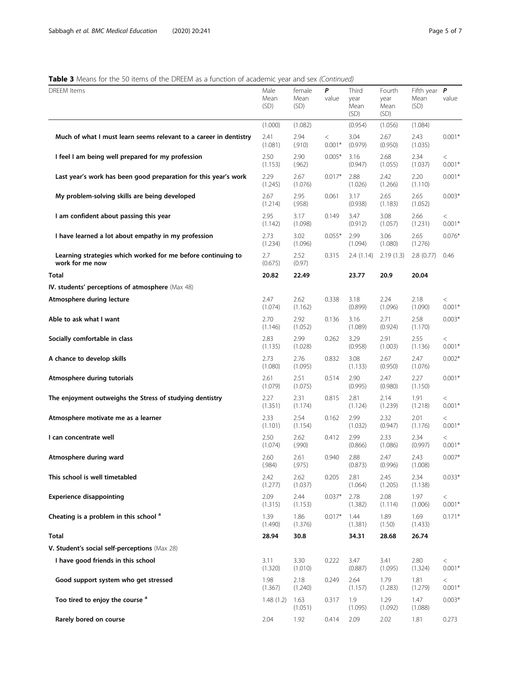# Table 3 Means for the 50 items of the DREEM as a function of academic year and sex (Continued)

| <b>DREEM</b> Items                                                              | Male<br>Mean<br>(SD) | female<br>Mean<br>(SD) | P<br>value | Third<br>year<br>Mean | Fourth<br>year<br>Mean | Fifth year $P$<br>Mean<br>(SD) | value             |
|---------------------------------------------------------------------------------|----------------------|------------------------|------------|-----------------------|------------------------|--------------------------------|-------------------|
|                                                                                 |                      |                        |            | (SD)                  | (SD)                   |                                |                   |
| Much of what I must learn seems relevant to a career in dentistry               | (1.000)<br>2.41      | (1.082)<br>2.94        | $\,<$      | (0.954)<br>3.04       | (1.056)<br>2.67        | (1.084)<br>2.43                | $0.001*$          |
|                                                                                 | (1.081)              | (.910)                 | $0.001*$   | (0.979)               | (0.950)                | (1.035)                        |                   |
| I feel I am being well prepared for my profession                               | 2.50<br>(1.153)      | 2.90<br>(.962)         | $0.005*$   | 3.16<br>(0.947)       | 2.68<br>(1.055)        | 2.34<br>(1.037)                | $\,<$<br>$0.001*$ |
| Last year's work has been good preparation for this year's work                 | 2.29<br>(1.245)      | 2.67<br>(1.076)        | $0.017*$   | 2.88<br>(1.026)       | 2.42<br>(1.266)        | 2.20<br>(1.110)                | $0.001*$          |
| My problem-solving skills are being developed                                   | 2.67<br>(1.214)      | 2.95<br>(.958)         | 0.061      | 3.17<br>(0.938)       | 2.65<br>(1.183)        | 2.65<br>(1.052)                | $0.003*$          |
| I am confident about passing this year                                          | 2.95<br>(1.142)      | 3.17<br>(1.098)        | 0.149      | 3.47<br>(0.912)       | 3.08<br>(1.057)        | 2.66<br>(1.231)                | $\,<$<br>$0.001*$ |
| I have learned a lot about empathy in my profession                             | 2.73<br>(1.234)      | 3.02<br>(1.096)        | $0.055*$   | 2.99<br>(1.094)       | 3.06<br>(1.080)        | 2.65<br>(1.276)                | $0.076*$          |
| Learning strategies which worked for me before continuing to<br>work for me now | 2.7<br>(0.675)       | 2.52<br>(0.97)         | 0.315      | 2.4(1.14)             | 2.19(1.3)              | 2.8(0.77)                      | 0.46              |
| <b>Total</b>                                                                    | 20.82                | 22.49                  |            | 23.77                 | 20.9                   | 20.04                          |                   |
| IV. students' perceptions of atmosphere (Max 48)                                |                      |                        |            |                       |                        |                                |                   |
| Atmosphere during lecture                                                       | 2.47<br>(1.074)      | 2.62<br>(1.162)        | 0.338      | 3.18<br>(0.899)       | 2.24<br>(1.096)        | 2.18<br>(1.090)                | $\,<$<br>$0.001*$ |
| Able to ask what I want                                                         | 2.70<br>(1.146)      | 2.92<br>(1.052)        | 0.136      | 3.16<br>(1.089)       | 2.71<br>(0.924)        | 2.58<br>(1.170)                | $0.003*$          |
| Socially comfortable in class                                                   | 2.83<br>(1.135)      | 2.99<br>(1.028)        | 0.262      | 3.29<br>(0.958)       | 2.91<br>(1.003)        | 2.55<br>(1.136)                | $\,<$<br>$0.001*$ |
| A chance to develop skills                                                      | 2.73<br>(1.080)      | 2.76<br>(1.095)        | 0.832      | 3.08<br>(1.133)       | 2.67<br>(0.950)        | 2.47<br>(1.076)                | $0.002*$          |
| Atmosphere during tutorials                                                     | 2.61<br>(1.079)      | 2.51<br>(1.075)        | 0.514      | 2.90<br>(0.995)       | 2.47<br>(0.980)        | 2.27<br>(1.150)                | $0.001*$          |
| The enjoyment outweighs the Stress of studying dentistry                        | 2.27<br>(1.351)      | 2.31<br>(1.174)        | 0.815      | 2.81<br>(1.124)       | 2.14<br>(1.239)        | 1.91<br>(1.218)                | $\,<$<br>$0.001*$ |
| Atmosphere motivate me as a learner                                             | 2.33<br>(1.101)      | 2.54<br>(1.154)        | 0.162      | 2.99<br>(1.032)       | 2.32<br>(0.947)        | 2.01<br>(1.176)                | $\,<$<br>$0.001*$ |
| I can concentrate well                                                          | 2.50<br>(1.074)      | 2.62<br>(.990)         | 0.412      | 2.99<br>(0.866)       | 2.33<br>(1.086)        | 2.34<br>(0.997)                | $\,<$<br>$0.001*$ |
| Atmosphere during ward                                                          | 2.60<br>(.984)       | 2.61<br>(.975)         | 0.940      | 2.88<br>(0.873)       | 2.47<br>(0.996)        | 2.43<br>(1.008)                | $0.007*$          |
| This school is well timetabled                                                  | 2.42<br>(1.277)      | 2.62<br>(1.037)        | 0.205      | 2.81<br>(1.064)       | 2.45<br>(1.205)        | 2.34<br>(1.138)                | $0.033*$          |
| <b>Experience disappointing</b>                                                 | 2.09<br>(1.315)      | 2.44<br>(1.153)        | $0.037*$   | 2.78<br>(1.382)       | 2.08<br>(1.114)        | 1.97<br>(1.006)                | $\,<$<br>$0.001*$ |
| Cheating is a problem in this school <sup>a</sup>                               | 1.39<br>(1.490)      | 1.86<br>(1.376)        | $0.017*$   | 1.44<br>(1.381)       | 1.89<br>(1.50)         | 1.69<br>(1.433)                | $0.171*$          |
| <b>Total</b>                                                                    | 28.94                | 30.8                   |            | 34.31                 | 28.68                  | 26.74                          |                   |
| V. Student's social self-perceptions (Max 28)                                   |                      |                        |            |                       |                        |                                |                   |
| I have good friends in this school                                              | 3.11<br>(1.320)      | 3.30<br>(1.010)        | 0.222      | 3.47<br>(0.887)       | 3.41<br>(1.095)        | 2.80<br>(1.324)                | $\,<$<br>$0.001*$ |
| Good support system who get stressed                                            | 1.98<br>(1.367)      | 2.18<br>(1.240)        | 0.249      | 2.64<br>(1.157)       | 1.79<br>(1.283)        | 1.81<br>(1.279)                | $\,<$<br>$0.001*$ |
| Too tired to enjoy the course <sup>a</sup>                                      | 1.48(1.2)            | 1.63<br>(1.051)        | 0.317      | 1.9<br>(1.095)        | 1.29<br>(1.092)        | 1.47<br>(1.088)                | $0.003*$          |
| Rarely bored on course                                                          | 2.04                 | 1.92                   | 0.414      | 2.09                  | 2.02                   | 1.81                           | 0.273             |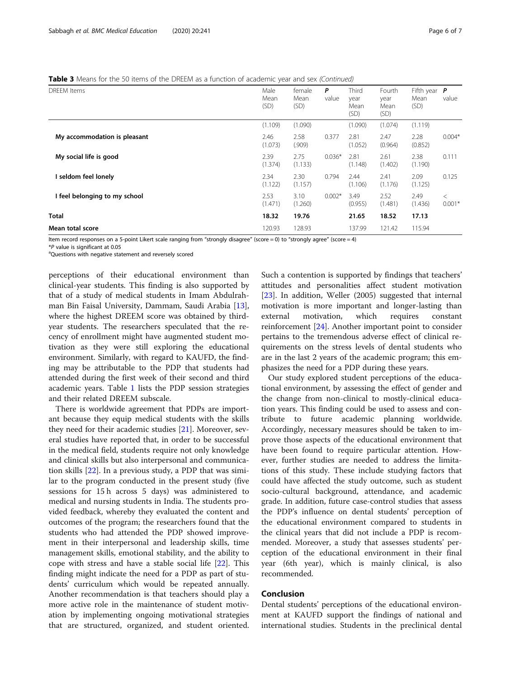Table 3 Means for the 50 items of the DREEM as a function of academic year and sex (Continued)

| <b>DREEM</b> Items            | Male<br>Mean<br>(SD) | female<br>Mean<br>(SD) | P<br>value | Third<br>year<br>Mean<br>(SD) | Fourth<br>year<br>Mean<br>(SD) | Fifth year $P$<br>Mean<br>(SD) | value               |
|-------------------------------|----------------------|------------------------|------------|-------------------------------|--------------------------------|--------------------------------|---------------------|
|                               | (1.109)              | (1.090)                |            | (1.090)                       | (1.074)                        | (1.119)                        |                     |
| My accommodation is pleasant  | 2.46<br>(1.073)      | 2.58<br>(.909)         | 0.377      | 2.81<br>(1.052)               | 2.47<br>(0.964)                | 2.28<br>(0.852)                | $0.004*$            |
| My social life is good        | 2.39<br>(1.374)      | 2.75<br>(1.133)        | $0.036*$   | 2.81<br>(1.148)               | 2.61<br>(1.402)                | 2.38<br>(1.190)                | 0.111               |
| I seldom feel lonely          | 2.34<br>(1.122)      | 2.30<br>(1.157)        | 0.794      | 2.44<br>(1.106)               | 2.41<br>(1.176)                | 2.09<br>(1.125)                | 0.125               |
| I feel belonging to my school | 2.53<br>(1.471)      | 3.10<br>(1.260)        | $0.002*$   | 3.49<br>(0.955)               | 2.52<br>(1.481)                | 2.49<br>(1.436)                | $\,<\,$<br>$0.001*$ |
| <b>Total</b>                  | 18.32                | 19.76                  |            | 21.65                         | 18.52                          | 17.13                          |                     |
| Mean total score              | 120.93               | 128.93                 |            | 137.99                        | 121.42                         | 115.94                         |                     |

Item record responses on a 5-point Likert scale ranging from "strongly disagree" (score = 0) to "strongly agree" (score = 4)

 $*P$  value is significant at 0.05

<sup>a</sup>Questions with negative statement and reversely scored

perceptions of their educational environment than clinical-year students. This finding is also supported by that of a study of medical students in Imam Abdulrahman Bin Faisal University, Dammam, Saudi Arabia [\[13](#page-6-0)], where the highest DREEM score was obtained by thirdyear students. The researchers speculated that the recency of enrollment might have augmented student motivation as they were still exploring the educational environment. Similarly, with regard to KAUFD, the finding may be attributable to the PDP that students had attended during the first week of their second and third academic years. Table [1](#page-1-0) lists the PDP session strategies and their related DREEM subscale.

There is worldwide agreement that PDPs are important because they equip medical students with the skills they need for their academic studies [\[21\]](#page-6-0). Moreover, several studies have reported that, in order to be successful in the medical field, students require not only knowledge and clinical skills but also interpersonal and communication skills [\[22](#page-6-0)]. In a previous study, a PDP that was similar to the program conducted in the present study (five sessions for 15 h across 5 days) was administered to medical and nursing students in India. The students provided feedback, whereby they evaluated the content and outcomes of the program; the researchers found that the students who had attended the PDP showed improvement in their interpersonal and leadership skills, time management skills, emotional stability, and the ability to cope with stress and have a stable social life  $[22]$ . This finding might indicate the need for a PDP as part of students' curriculum which would be repeated annually. Another recommendation is that teachers should play a more active role in the maintenance of student motivation by implementing ongoing motivational strategies that are structured, organized, and student oriented.

Such a contention is supported by findings that teachers' attitudes and personalities affect student motivation [[23\]](#page-6-0). In addition, Weller (2005) suggested that internal motivation is more important and longer-lasting than external motivation, which requires constant reinforcement [[24](#page-6-0)]. Another important point to consider pertains to the tremendous adverse effect of clinical requirements on the stress levels of dental students who are in the last 2 years of the academic program; this emphasizes the need for a PDP during these years.

Our study explored student perceptions of the educational environment, by assessing the effect of gender and the change from non-clinical to mostly-clinical education years. This finding could be used to assess and contribute to future academic planning worldwide. Accordingly, necessary measures should be taken to improve those aspects of the educational environment that have been found to require particular attention. However, further studies are needed to address the limitations of this study. These include studying factors that could have affected the study outcome, such as student socio-cultural background, attendance, and academic grade. In addition, future case-control studies that assess the PDP's influence on dental students' perception of the educational environment compared to students in the clinical years that did not include a PDP is recommended. Moreover, a study that assesses students' perception of the educational environment in their final year (6th year), which is mainly clinical, is also recommended.

# Conclusion

Dental students' perceptions of the educational environment at KAUFD support the findings of national and international studies. Students in the preclinical dental